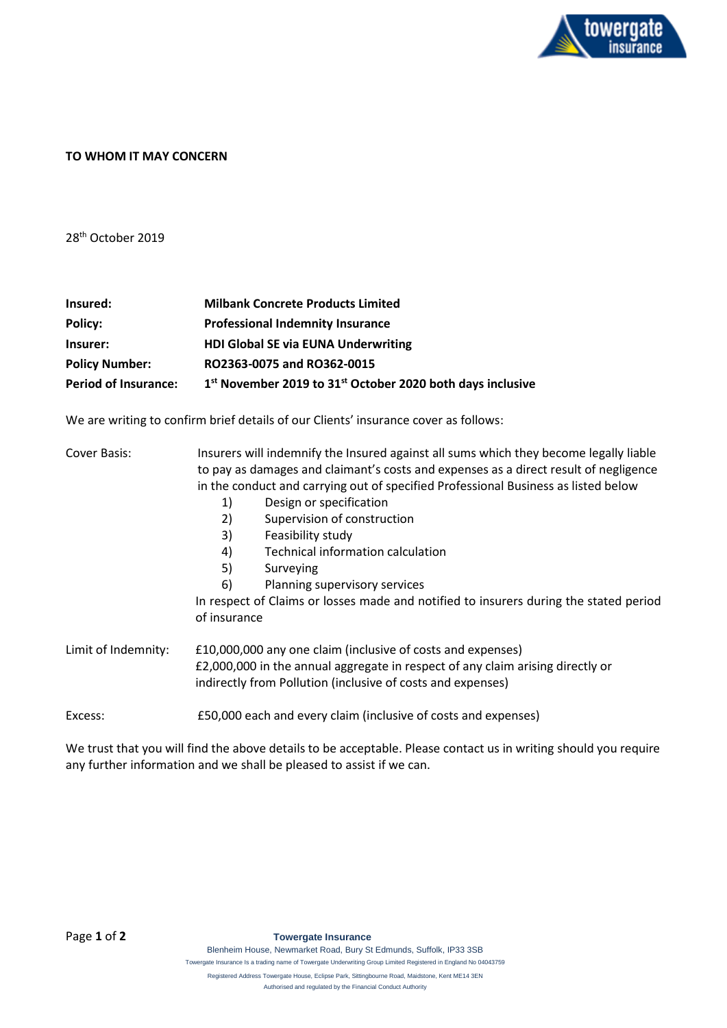

## **TO WHOM IT MAY CONCERN**

28th October 2019

| Insured:                    | <b>Milbank Concrete Products Limited</b>                                           |
|-----------------------------|------------------------------------------------------------------------------------|
| Policy:                     | <b>Professional Indemnity Insurance</b>                                            |
| Insurer:                    | <b>HDI Global SE via EUNA Underwriting</b>                                         |
| <b>Policy Number:</b>       | RO2363-0075 and RO362-0015                                                         |
| <b>Period of Insurance:</b> | 1 <sup>st</sup> November 2019 to 31 <sup>st</sup> October 2020 both days inclusive |

We are writing to confirm brief details of our Clients' insurance cover as follows:

| Cover Basis:                                                                          | Insurers will indemnify the Insured against all sums which they become legally liable<br>to pay as damages and claimant's costs and expenses as a direct result of negligence<br>in the conduct and carrying out of specified Professional Business as listed below |                                         |                                   |
|---------------------------------------------------------------------------------------|---------------------------------------------------------------------------------------------------------------------------------------------------------------------------------------------------------------------------------------------------------------------|-----------------------------------------|-----------------------------------|
|                                                                                       |                                                                                                                                                                                                                                                                     |                                         | Design or specification<br>1)     |
|                                                                                       |                                                                                                                                                                                                                                                                     |                                         | Supervision of construction<br>2) |
|                                                                                       |                                                                                                                                                                                                                                                                     | Feasibility study<br>3)                 |                                   |
|                                                                                       |                                                                                                                                                                                                                                                                     | Technical information calculation<br>4) |                                   |
| 5)<br>Surveying                                                                       |                                                                                                                                                                                                                                                                     |                                         |                                   |
| Planning supervisory services<br>6)                                                   |                                                                                                                                                                                                                                                                     |                                         |                                   |
| In respect of Claims or losses made and notified to insurers during the stated period |                                                                                                                                                                                                                                                                     |                                         |                                   |
| of insurance                                                                          |                                                                                                                                                                                                                                                                     |                                         |                                   |
|                                                                                       |                                                                                                                                                                                                                                                                     |                                         |                                   |
| Limit of Indemnity:                                                                   | £10,000,000 any one claim (inclusive of costs and expenses)                                                                                                                                                                                                         |                                         |                                   |
|                                                                                       | £2,000,000 in the annual aggregate in respect of any claim arising directly or                                                                                                                                                                                      |                                         |                                   |
|                                                                                       | indirectly from Pollution (inclusive of costs and expenses)                                                                                                                                                                                                         |                                         |                                   |
| Excess:                                                                               | £50,000 each and every claim (inclusive of costs and expenses)                                                                                                                                                                                                      |                                         |                                   |

We trust that you will find the above details to be acceptable. Please contact us in writing should you require any further information and we shall be pleased to assist if we can.